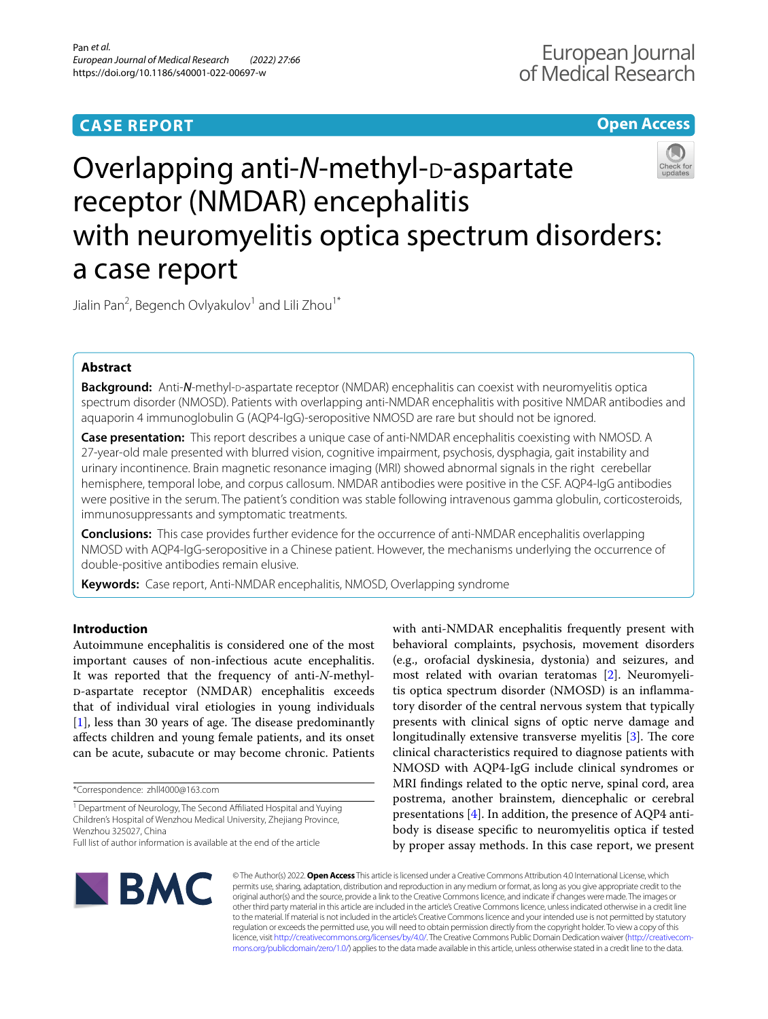## **CASE REPORT**

## **Open Access**



# Overlapping anti-N-methyl-D-aspartate receptor (NMDAR) encephalitis with neuromyelitis optica spectrum disorders: a case report

Jialin Pan<sup>2</sup>, Begench Ovlyakulov<sup>1</sup> and Lili Zhou<sup>1\*</sup>

## **Abstract**

**Background:** Anti-*N*-methyl-p-aspartate receptor (NMDAR) encephalitis can coexist with neuromyelitis optica spectrum disorder (NMOSD). Patients with overlapping anti-NMDAR encephalitis with positive NMDAR antibodies and aquaporin 4 immunoglobulin G (AQP4-IgG)-seropositive NMOSD are rare but should not be ignored.

**Case presentation:** This report describes a unique case of anti-NMDAR encephalitis coexisting with NMOSD. A 27-year-old male presented with blurred vision, cognitive impairment, psychosis, dysphagia, gait instability and urinary incontinence. Brain magnetic resonance imaging (MRI) showed abnormal signals in the right cerebellar hemisphere, temporal lobe, and corpus callosum. NMDAR antibodies were positive in the CSF. AQP4-IgG antibodies were positive in the serum. The patient's condition was stable following intravenous gamma globulin, corticosteroids, immunosuppressants and symptomatic treatments.

**Conclusions:** This case provides further evidence for the occurrence of anti-NMDAR encephalitis overlapping NMOSD with AQP4-IgG-seropositive in a Chinese patient. However, the mechanisms underlying the occurrence of double-positive antibodies remain elusive.

**Keywords:** Case report, Anti-NMDAR encephalitis, NMOSD, Overlapping syndrome

## **Introduction**

Autoimmune encephalitis is considered one of the most important causes of non-infectious acute encephalitis. It was reported that the frequency of anti-*N*-methyld-aspartate receptor (NMDAR) encephalitis exceeds that of individual viral etiologies in young individuals  $[1]$  $[1]$ , less than 30 years of age. The disease predominantly afects children and young female patients, and its onset can be acute, subacute or may become chronic. Patients

\*Correspondence: zhll4000@163.com

<sup>1</sup> Department of Neurology, The Second Affiliated Hospital and Yuying Children's Hospital of Wenzhou Medical University, Zhejiang Province, Wenzhou 325027, China

with anti-NMDAR encephalitis frequently present with behavioral complaints, psychosis, movement disorders (e.g., orofacial dyskinesia, dystonia) and seizures, and most related with ovarian teratomas [\[2](#page-4-1)]. Neuromyelitis optica spectrum disorder (NMOSD) is an infammatory disorder of the central nervous system that typically presents with clinical signs of optic nerve damage and longitudinally extensive transverse myelitis  $[3]$  $[3]$ . The core clinical characteristics required to diagnose patients with NMOSD with AQP4-IgG include clinical syndromes or MRI fndings related to the optic nerve, spinal cord, area postrema, another brainstem, diencephalic or cerebral presentations  $[4]$  $[4]$ . In addition, the presence of AQP4 antibody is disease specifc to neuromyelitis optica if tested by proper assay methods. In this case report, we present



© The Author(s) 2022. **Open Access** This article is licensed under a Creative Commons Attribution 4.0 International License, which permits use, sharing, adaptation, distribution and reproduction in any medium or format, as long as you give appropriate credit to the original author(s) and the source, provide a link to the Creative Commons licence, and indicate if changes were made. The images or other third party material in this article are included in the article's Creative Commons licence, unless indicated otherwise in a credit line to the material. If material is not included in the article's Creative Commons licence and your intended use is not permitted by statutory regulation or exceeds the permitted use, you will need to obtain permission directly from the copyright holder. To view a copy of this licence, visit [http://creativecommons.org/licenses/by/4.0/.](http://creativecommons.org/licenses/by/4.0/) The Creative Commons Public Domain Dedication waiver ([http://creativecom](http://creativecommons.org/publicdomain/zero/1.0/)[mons.org/publicdomain/zero/1.0/\)](http://creativecommons.org/publicdomain/zero/1.0/) applies to the data made available in this article, unless otherwise stated in a credit line to the data.

Full list of author information is available at the end of the article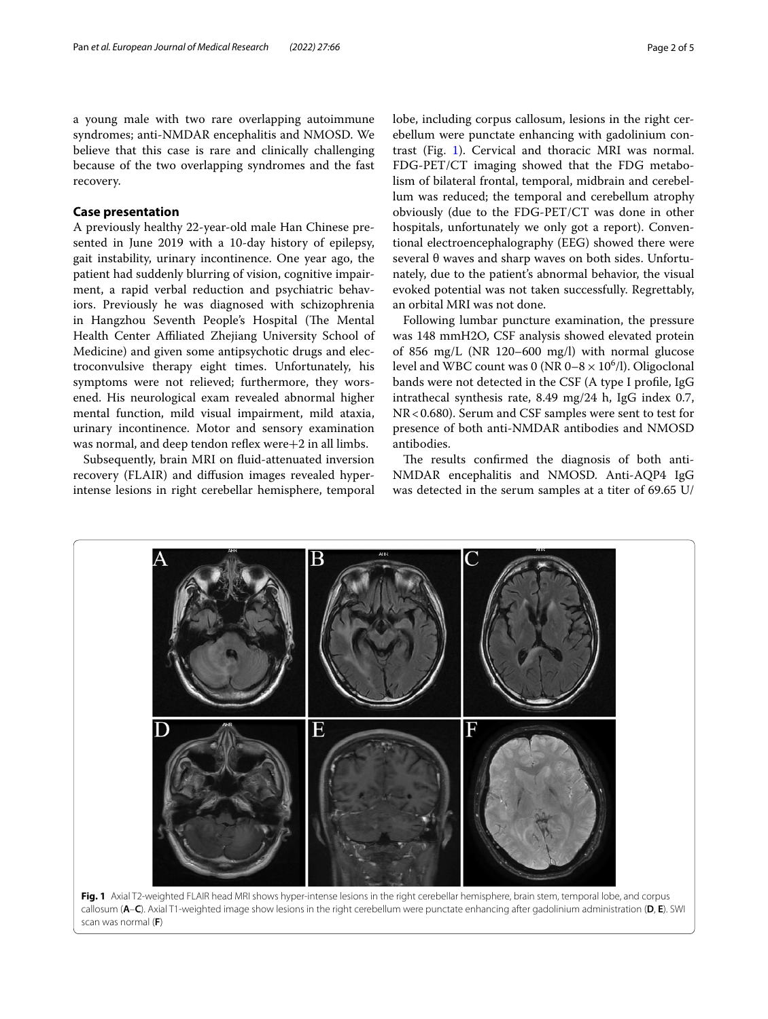a young male with two rare overlapping autoimmune syndromes; anti-NMDAR encephalitis and NMOSD. We believe that this case is rare and clinically challenging because of the two overlapping syndromes and the fast recovery.

## **Case presentation**

A previously healthy 22-year-old male Han Chinese presented in June 2019 with a 10-day history of epilepsy, gait instability, urinary incontinence. One year ago, the patient had suddenly blurring of vision, cognitive impairment, a rapid verbal reduction and psychiatric behaviors. Previously he was diagnosed with schizophrenia in Hangzhou Seventh People's Hospital (The Mental Health Center Afliated Zhejiang University School of Medicine) and given some antipsychotic drugs and electroconvulsive therapy eight times. Unfortunately, his symptoms were not relieved; furthermore, they worsened. His neurological exam revealed abnormal higher mental function, mild visual impairment, mild ataxia, urinary incontinence. Motor and sensory examination was normal, and deep tendon reflex were $+2$  in all limbs.

Subsequently, brain MRI on fuid-attenuated inversion recovery (FLAIR) and difusion images revealed hyperintense lesions in right cerebellar hemisphere, temporal lobe, including corpus callosum, lesions in the right cerebellum were punctate enhancing with gadolinium contrast (Fig. [1\)](#page-1-0). Cervical and thoracic MRI was normal. FDG-PET/CT imaging showed that the FDG metabolism of bilateral frontal, temporal, midbrain and cerebellum was reduced; the temporal and cerebellum atrophy obviously (due to the FDG-PET/CT was done in other hospitals, unfortunately we only got a report). Conventional electroencephalography (EEG) showed there were several θ waves and sharp waves on both sides. Unfortunately, due to the patient's abnormal behavior, the visual evoked potential was not taken successfully. Regrettably, an orbital MRI was not done.

Following lumbar puncture examination, the pressure was 148 mmH2O, CSF analysis showed elevated protein of 856 mg/L (NR 120–600 mg/l) with normal glucose level and WBC count was 0 (NR  $0-8 \times 10^6$ /l). Oligoclonal bands were not detected in the CSF (A type I profle, IgG intrathecal synthesis rate, 8.49 mg/24 h, IgG index 0.7, NR<0.680). Serum and CSF samples were sent to test for presence of both anti-NMDAR antibodies and NMOSD antibodies.

The results confirmed the diagnosis of both anti-NMDAR encephalitis and NMOSD. Anti-AQP4 IgG was detected in the serum samples at a titer of 69.65 U/

<span id="page-1-0"></span>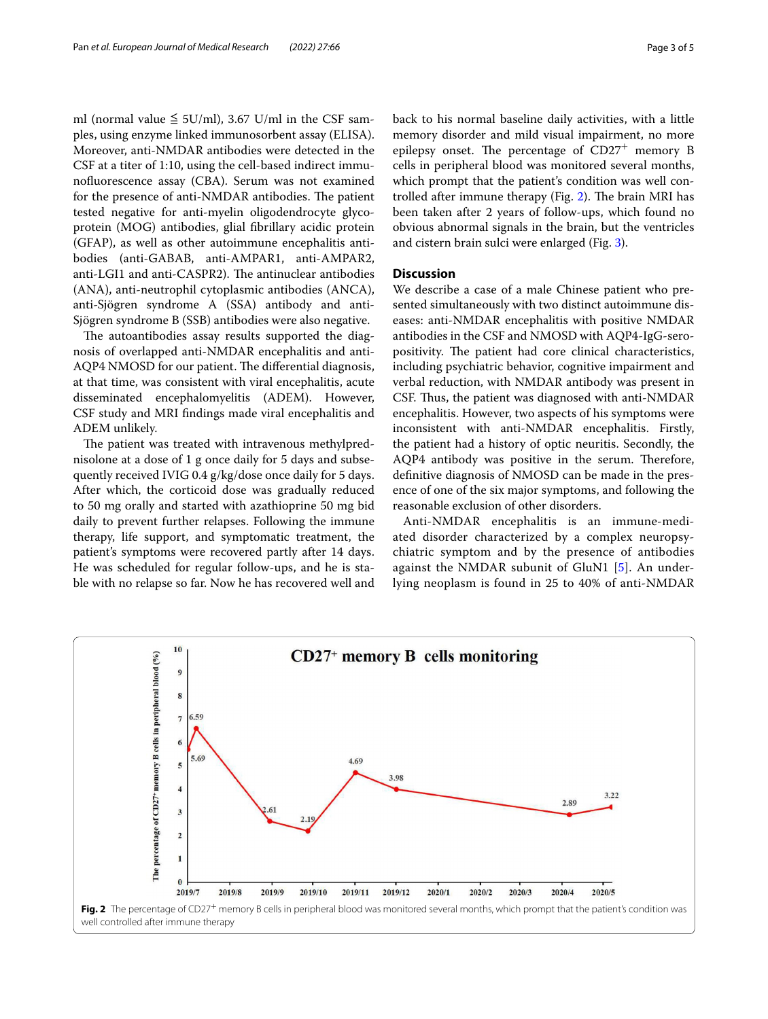ml (normal value  $\leq$  5U/ml), 3.67 U/ml in the CSF samples, using enzyme linked immunosorbent assay (ELISA). Moreover, anti-NMDAR antibodies were detected in the CSF at a titer of 1:10, using the cell-based indirect immunofuorescence assay (CBA). Serum was not examined for the presence of anti-NMDAR antibodies. The patient tested negative for anti-myelin oligodendrocyte glycoprotein (MOG) antibodies, glial fbrillary acidic protein (GFAP), as well as other autoimmune encephalitis antibodies (anti-GABAB, anti-AMPAR1, anti-AMPAR2, anti-LGI1 and anti-CASPR2). The antinuclear antibodies (ANA), anti-neutrophil cytoplasmic antibodies (ANCA), anti-Sjögren syndrome A (SSA) antibody and anti-Sjögren syndrome B (SSB) antibodies were also negative.

The autoantibodies assay results supported the diagnosis of overlapped anti-NMDAR encephalitis and anti-AQP4 NMOSD for our patient. The differential diagnosis, at that time, was consistent with viral encephalitis, acute disseminated encephalomyelitis (ADEM). However, CSF study and MRI fndings made viral encephalitis and ADEM unlikely.

The patient was treated with intravenous methylprednisolone at a dose of 1 g once daily for 5 days and subsequently received IVIG 0.4 g/kg/dose once daily for 5 days. After which, the corticoid dose was gradually reduced to 50 mg orally and started with azathioprine 50 mg bid daily to prevent further relapses. Following the immune therapy, life support, and symptomatic treatment, the patient's symptoms were recovered partly after 14 days. He was scheduled for regular follow-ups, and he is stable with no relapse so far. Now he has recovered well and back to his normal baseline daily activities, with a little memory disorder and mild visual impairment, no more epilepsy onset. The percentage of  $CD27<sup>+</sup>$  memory B cells in peripheral blood was monitored several months, which prompt that the patient's condition was well con-trolled after immune therapy (Fig. [2\)](#page-2-0). The brain MRI has been taken after 2 years of follow-ups, which found no obvious abnormal signals in the brain, but the ventricles and cistern brain sulci were enlarged (Fig. [3\)](#page-3-0).

### **Discussion**

We describe a case of a male Chinese patient who presented simultaneously with two distinct autoimmune diseases: anti-NMDAR encephalitis with positive NMDAR antibodies in the CSF and NMOSD with AQP4-IgG-seropositivity. The patient had core clinical characteristics, including psychiatric behavior, cognitive impairment and verbal reduction, with NMDAR antibody was present in CSF. Thus, the patient was diagnosed with anti-NMDAR encephalitis. However, two aspects of his symptoms were inconsistent with anti-NMDAR encephalitis. Firstly, the patient had a history of optic neuritis. Secondly, the AQP4 antibody was positive in the serum. Therefore, defnitive diagnosis of NMOSD can be made in the presence of one of the six major symptoms, and following the reasonable exclusion of other disorders.

Anti-NMDAR encephalitis is an immune-mediated disorder characterized by a complex neuropsychiatric symptom and by the presence of antibodies against the NMDAR subunit of GluN1 [\[5\]](#page-4-4). An underlying neoplasm is found in 25 to 40% of anti-NMDAR

<span id="page-2-0"></span>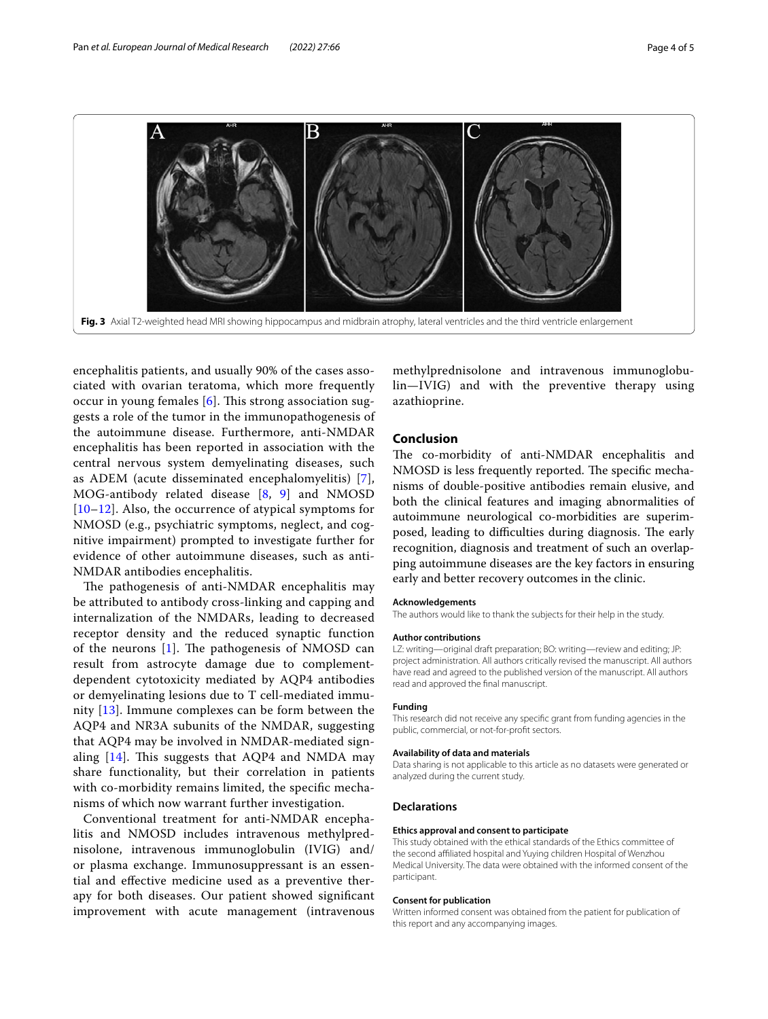

<span id="page-3-0"></span>encephalitis patients, and usually 90% of the cases associated with ovarian teratoma, which more frequently occur in young females  $[6]$  $[6]$  $[6]$ . This strong association suggests a role of the tumor in the immunopathogenesis of the autoimmune disease. Furthermore, anti-NMDAR encephalitis has been reported in association with the central nervous system demyelinating diseases, such as ADEM (acute disseminated encephalomyelitis) [[7\]](#page-4-6), MOG-antibody related disease [\[8,](#page-4-7) [9](#page-4-8)] and NMOSD [[10](#page-4-9)[–12](#page-4-10)]. Also, the occurrence of atypical symptoms for NMOSD (e.g., psychiatric symptoms, neglect, and cognitive impairment) prompted to investigate further for evidence of other autoimmune diseases, such as anti-NMDAR antibodies encephalitis.

The pathogenesis of anti-NMDAR encephalitis may be attributed to antibody cross-linking and capping and internalization of the NMDARs, leading to decreased receptor density and the reduced synaptic function of the neurons  $[1]$  $[1]$ . The pathogenesis of NMOSD can result from astrocyte damage due to complementdependent cytotoxicity mediated by AQP4 antibodies or demyelinating lesions due to T cell-mediated immunity [\[13\]](#page-4-11). Immune complexes can be form between the AQP4 and NR3A subunits of the NMDAR, suggesting that AQP4 may be involved in NMDAR-mediated signaling  $[14]$  $[14]$ . This suggests that AQP4 and NMDA may share functionality, but their correlation in patients with co-morbidity remains limited, the specifc mechanisms of which now warrant further investigation.

Conventional treatment for anti-NMDAR encephalitis and NMOSD includes intravenous methylprednisolone, intravenous immunoglobulin (IVIG) and/ or plasma exchange. Immunosuppressant is an essential and efective medicine used as a preventive therapy for both diseases. Our patient showed signifcant improvement with acute management (intravenous

methylprednisolone and intravenous immunoglobulin—IVIG) and with the preventive therapy using azathioprine.

#### **Conclusion**

The co-morbidity of anti-NMDAR encephalitis and NMOSD is less frequently reported. The specific mechanisms of double-positive antibodies remain elusive, and both the clinical features and imaging abnormalities of autoimmune neurological co-morbidities are superimposed, leading to difficulties during diagnosis. The early recognition, diagnosis and treatment of such an overlapping autoimmune diseases are the key factors in ensuring early and better recovery outcomes in the clinic.

#### **Acknowledgements**

The authors would like to thank the subjects for their help in the study.

#### **Author contributions**

LZ: writing—original draft preparation; BO: writing—review and editing; JP: project administration. All authors critically revised the manuscript. All authors have read and agreed to the published version of the manuscript. All authors read and approved the fnal manuscript.

#### **Funding**

This research did not receive any specifc grant from funding agencies in the public, commercial, or not-for-proft sectors.

#### **Availability of data and materials**

Data sharing is not applicable to this article as no datasets were generated or analyzed during the current study.

#### **Declarations**

#### **Ethics approval and consent to participate**

This study obtained with the ethical standards of the Ethics committee of the second afliated hospital and Yuying children Hospital of Wenzhou Medical University. The data were obtained with the informed consent of the participant.

#### **Consent for publication**

Written informed consent was obtained from the patient for publication of this report and any accompanying images.